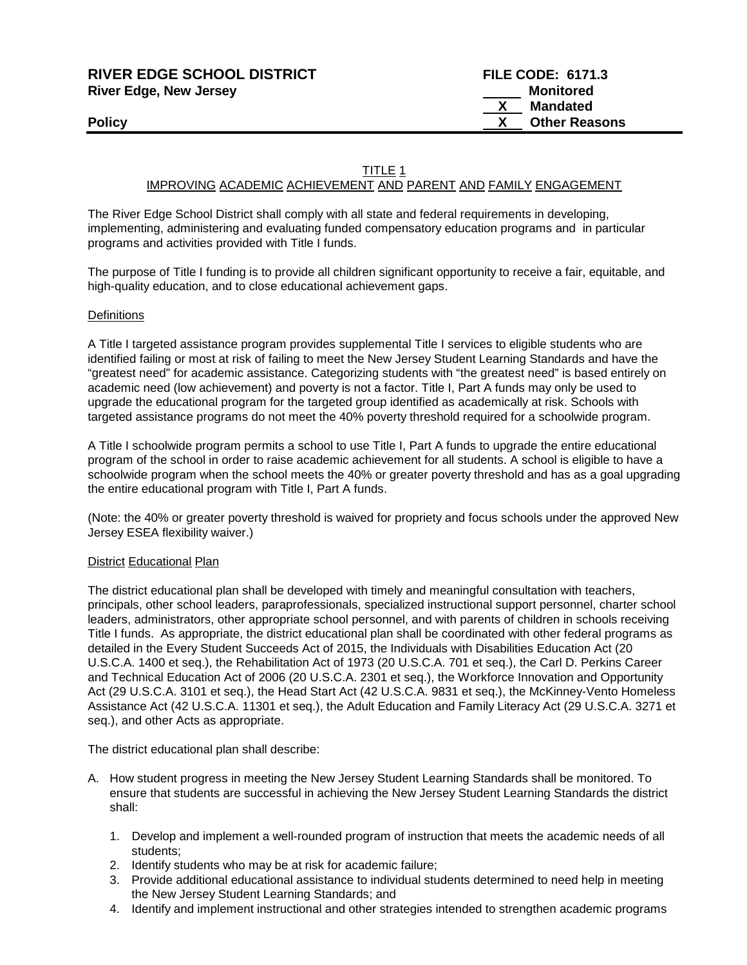| <b>RIVER EDGE SCHOOL DISTRICT</b> | <b>FILE CODE: 6171.3</b> |
|-----------------------------------|--------------------------|
| <b>River Edge, New Jersey</b>     | Monitored                |
|                                   | Mandated                 |
| <b>Policy</b>                     | <b>Other Reasons</b>     |
|                                   |                          |

#### TITLE 1

## IMPROVING ACADEMIC ACHIEVEMENT AND PARENT AND FAMILY ENGAGEMENT

The River Edge School District shall comply with all state and federal requirements in developing, implementing, administering and evaluating funded compensatory education programs and in particular programs and activities provided with Title I funds.

The purpose of Title I funding is to provide all children significant opportunity to receive a fair, equitable, and high-quality education, and to close educational achievement gaps.

#### **Definitions**

A Title I targeted assistance program provides supplemental Title I services to eligible students who are identified failing or most at risk of failing to meet the New Jersey Student Learning Standards and have the "greatest need" for academic assistance. Categorizing students with "the greatest need" is based entirely on academic need (low achievement) and poverty is not a factor. Title I, Part A funds may only be used to upgrade the educational program for the targeted group identified as academically at risk. Schools with targeted assistance programs do not meet the 40% poverty threshold required for a schoolwide program.

A Title I schoolwide program permits a school to use Title I, Part A funds to upgrade the entire educational program of the school in order to raise academic achievement for all students. A school is eligible to have a schoolwide program when the school meets the 40% or greater poverty threshold and has as a goal upgrading the entire educational program with Title I, Part A funds.

(Note: the 40% or greater poverty threshold is waived for propriety and focus schools under the approved New Jersey ESEA flexibility waiver.)

#### **District Educational Plan**

The district educational plan shall be developed with timely and meaningful consultation with teachers, principals, other school leaders, paraprofessionals, specialized instructional support personnel, charter school leaders, administrators, other appropriate school personnel, and with parents of children in schools receiving Title I funds. As appropriate, the district educational plan shall be coordinated with other federal programs as detailed in the Every Student Succeeds Act of 2015, the Individuals with Disabilities Education Act (20 U.S.C.A. 1400 et seq.), the Rehabilitation Act of 1973 (20 U.S.C.A. 701 et seq.), the Carl D. Perkins Career and Technical Education Act of 2006 (20 U.S.C.A. 2301 et seq.), the Workforce Innovation and Opportunity Act (29 U.S.C.A. 3101 et seq.), the Head Start Act (42 U.S.C.A. 9831 et seq.), the McKinney-Vento Homeless Assistance Act (42 U.S.C.A. 11301 et seq.), the Adult Education and Family Literacy Act (29 U.S.C.A. 3271 et seq.), and other Acts as appropriate.

The district educational plan shall describe:

- A. How student progress in meeting the New Jersey Student Learning Standards shall be monitored. To ensure that students are successful in achieving the New Jersey Student Learning Standards the district shall:
	- 1. Develop and implement a well-rounded program of instruction that meets the academic needs of all students;
	- 2. Identify students who may be at risk for academic failure;
	- 3. Provide additional educational assistance to individual students determined to need help in meeting the New Jersey Student Learning Standards; and
	- 4. Identify and implement instructional and other strategies intended to strengthen academic programs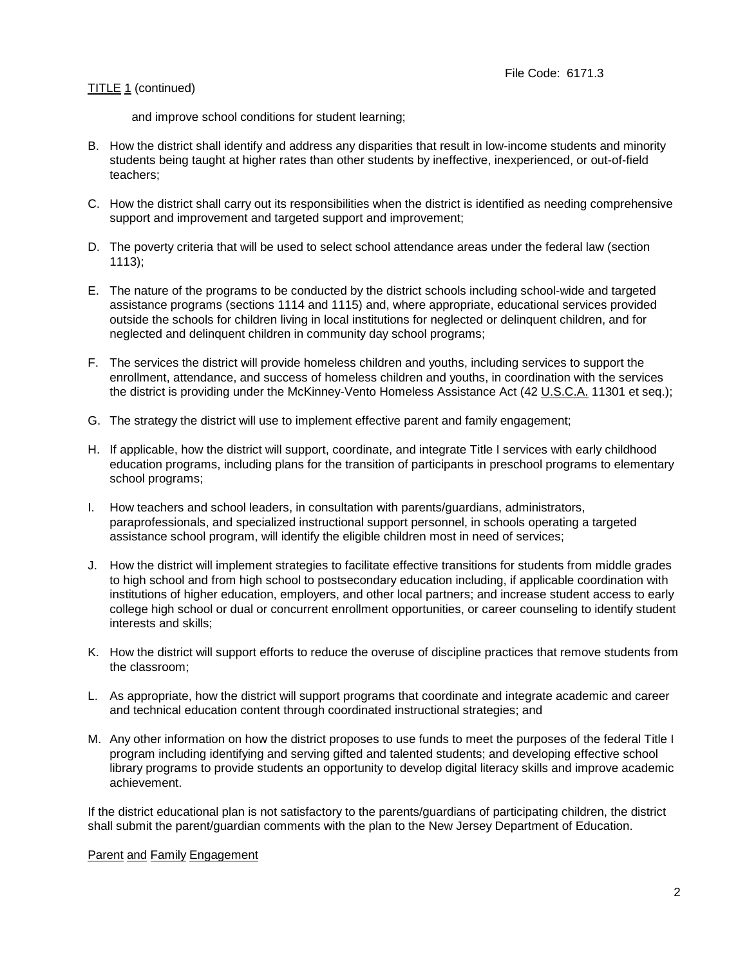and improve school conditions for student learning;

- B. How the district shall identify and address any disparities that result in low-income students and minority students being taught at higher rates than other students by ineffective, inexperienced, or out-of-field teachers;
- C. How the district shall carry out its responsibilities when the district is identified as needing comprehensive support and improvement and targeted support and improvement;
- D. The poverty criteria that will be used to select school attendance areas under the federal law (section 1113);
- E. The nature of the programs to be conducted by the district schools including school-wide and targeted assistance programs (sections 1114 and 1115) and, where appropriate, educational services provided outside the schools for children living in local institutions for neglected or delinquent children, and for neglected and delinquent children in community day school programs;
- F. The services the district will provide homeless children and youths, including services to support the enrollment, attendance, and success of homeless children and youths, in coordination with the services the district is providing under the McKinney-Vento Homeless Assistance Act (42 U.S.C.A. 11301 et seq.);
- G. The strategy the district will use to implement effective parent and family engagement;
- H. If applicable, how the district will support, coordinate, and integrate Title I services with early childhood education programs, including plans for the transition of participants in preschool programs to elementary school programs;
- I. How teachers and school leaders, in consultation with parents/guardians, administrators, paraprofessionals, and specialized instructional support personnel, in schools operating a targeted assistance school program, will identify the eligible children most in need of services;
- J. How the district will implement strategies to facilitate effective transitions for students from middle grades to high school and from high school to postsecondary education including, if applicable coordination with institutions of higher education, employers, and other local partners; and increase student access to early college high school or dual or concurrent enrollment opportunities, or career counseling to identify student interests and skills;
- K. How the district will support efforts to reduce the overuse of discipline practices that remove students from the classroom;
- L. As appropriate, how the district will support programs that coordinate and integrate academic and career and technical education content through coordinated instructional strategies; and
- M. Any other information on how the district proposes to use funds to meet the purposes of the federal Title I program including identifying and serving gifted and talented students; and developing effective school library programs to provide students an opportunity to develop digital literacy skills and improve academic achievement.

If the district educational plan is not satisfactory to the parents/guardians of participating children, the district shall submit the parent/guardian comments with the plan to the New Jersey Department of Education.

#### Parent and Family Engagement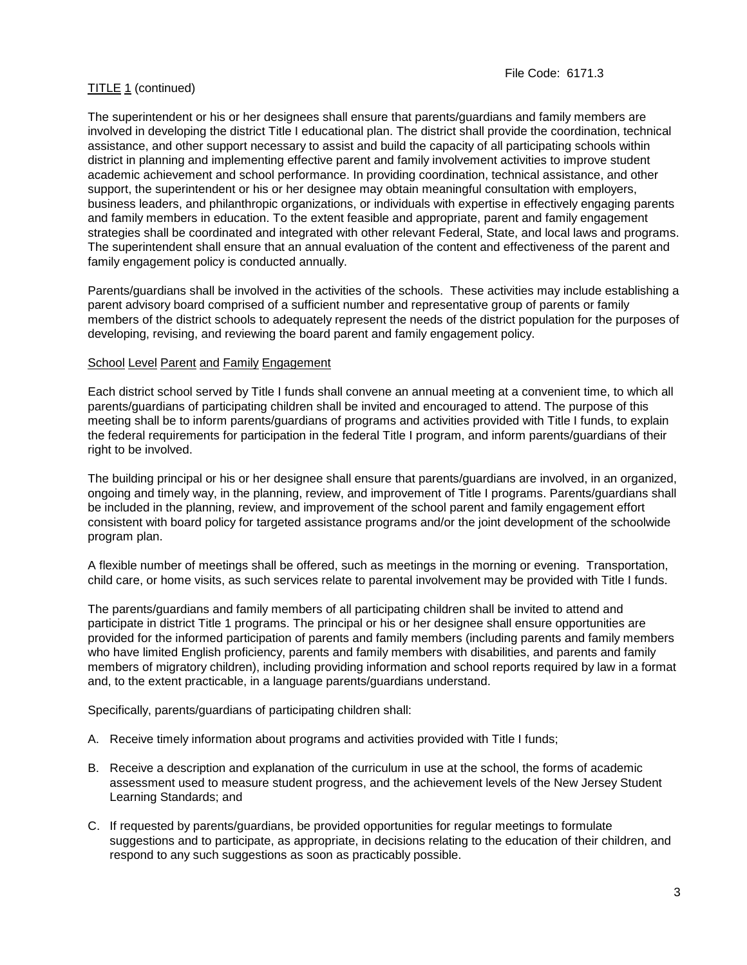The superintendent or his or her designees shall ensure that parents/guardians and family members are involved in developing the district Title I educational plan. The district shall provide the coordination, technical assistance, and other support necessary to assist and build the capacity of all participating schools within district in planning and implementing effective parent and family involvement activities to improve student academic achievement and school performance. In providing coordination, technical assistance, and other support, the superintendent or his or her designee may obtain meaningful consultation with employers, business leaders, and philanthropic organizations, or individuals with expertise in effectively engaging parents and family members in education. To the extent feasible and appropriate, parent and family engagement strategies shall be coordinated and integrated with other relevant Federal, State, and local laws and programs. The superintendent shall ensure that an annual evaluation of the content and effectiveness of the parent and family engagement policy is conducted annually.

Parents/guardians shall be involved in the activities of the schools. These activities may include establishing a parent advisory board comprised of a sufficient number and representative group of parents or family members of the district schools to adequately represent the needs of the district population for the purposes of developing, revising, and reviewing the board parent and family engagement policy.

## School Level Parent and Family Engagement

Each district school served by Title I funds shall convene an annual meeting at a convenient time, to which all parents/guardians of participating children shall be invited and encouraged to attend. The purpose of this meeting shall be to inform parents/guardians of programs and activities provided with Title I funds, to explain the federal requirements for participation in the federal Title I program, and inform parents/guardians of their right to be involved.

The building principal or his or her designee shall ensure that parents/guardians are involved, in an organized, ongoing and timely way, in the planning, review, and improvement of Title I programs. Parents/guardians shall be included in the planning, review, and improvement of the school parent and family engagement effort consistent with board policy for targeted assistance programs and/or the joint development of the schoolwide program plan.

A flexible number of meetings shall be offered, such as meetings in the morning or evening. Transportation, child care, or home visits, as such services relate to parental involvement may be provided with Title I funds.

The parents/guardians and family members of all participating children shall be invited to attend and participate in district Title 1 programs. The principal or his or her designee shall ensure opportunities are provided for the informed participation of parents and family members (including parents and family members who have limited English proficiency, parents and family members with disabilities, and parents and family members of migratory children), including providing information and school reports required by law in a format and, to the extent practicable, in a language parents/guardians understand.

Specifically, parents/guardians of participating children shall:

- A. Receive timely information about programs and activities provided with Title I funds;
- B. Receive a description and explanation of the curriculum in use at the school, the forms of academic assessment used to measure student progress, and the achievement levels of the New Jersey Student Learning Standards; and
- C. If requested by parents/guardians, be provided opportunities for regular meetings to formulate suggestions and to participate, as appropriate, in decisions relating to the education of their children, and respond to any such suggestions as soon as practicably possible.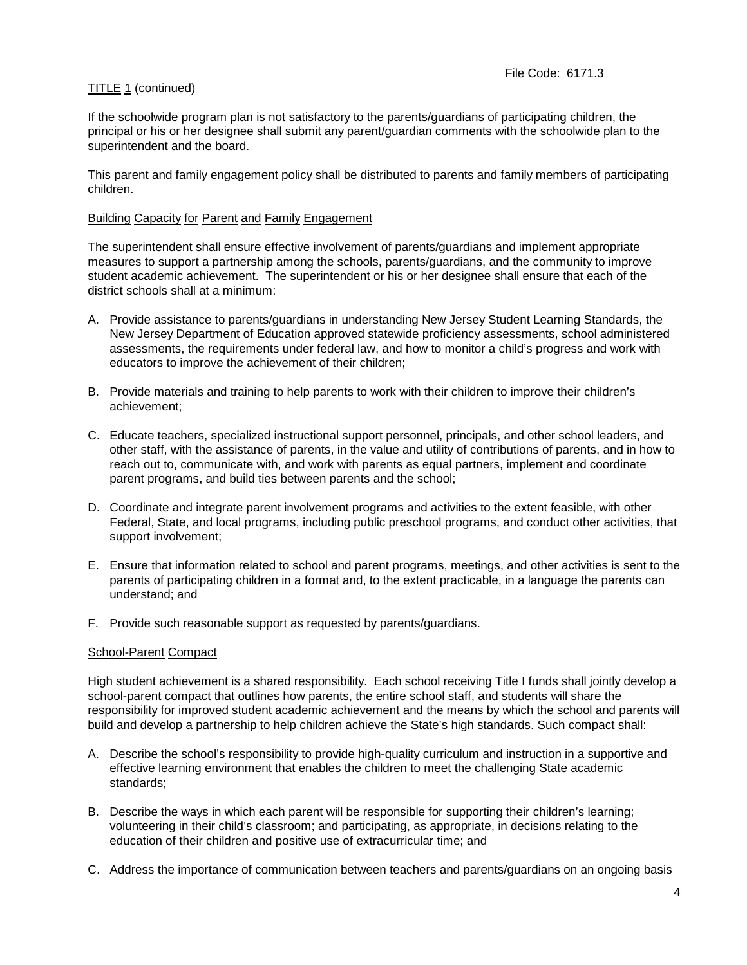If the schoolwide program plan is not satisfactory to the parents/guardians of participating children, the principal or his or her designee shall submit any parent/guardian comments with the schoolwide plan to the superintendent and the board.

This parent and family engagement policy shall be distributed to parents and family members of participating children.

## Building Capacity for Parent and Family Engagement

The superintendent shall ensure effective involvement of parents/guardians and implement appropriate measures to support a partnership among the schools, parents/guardians, and the community to improve student academic achievement. The superintendent or his or her designee shall ensure that each of the district schools shall at a minimum:

- A. Provide assistance to parents/guardians in understanding New Jersey Student Learning Standards, the New Jersey Department of Education approved statewide proficiency assessments, school administered assessments, the requirements under federal law, and how to monitor a child's progress and work with educators to improve the achievement of their children;
- B. Provide materials and training to help parents to work with their children to improve their children's achievement;
- C. Educate teachers, specialized instructional support personnel, principals, and other school leaders, and other staff, with the assistance of parents, in the value and utility of contributions of parents, and in how to reach out to, communicate with, and work with parents as equal partners, implement and coordinate parent programs, and build ties between parents and the school;
- D. Coordinate and integrate parent involvement programs and activities to the extent feasible, with other Federal, State, and local programs, including public preschool programs, and conduct other activities, that support involvement;
- E. Ensure that information related to school and parent programs, meetings, and other activities is sent to the parents of participating children in a format and, to the extent practicable, in a language the parents can understand; and
- F. Provide such reasonable support as requested by parents/guardians.

#### School-Parent Compact

High student achievement is a shared responsibility. Each school receiving Title I funds shall jointly develop a school-parent compact that outlines how parents, the entire school staff, and students will share the responsibility for improved student academic achievement and the means by which the school and parents will build and develop a partnership to help children achieve the State's high standards. Such compact shall:

- A. Describe the school's responsibility to provide high-quality curriculum and instruction in a supportive and effective learning environment that enables the children to meet the challenging State academic standards;
- B. Describe the ways in which each parent will be responsible for supporting their children's learning; volunteering in their child's classroom; and participating, as appropriate, in decisions relating to the education of their children and positive use of extracurricular time; and
- C. Address the importance of communication between teachers and parents/guardians on an ongoing basis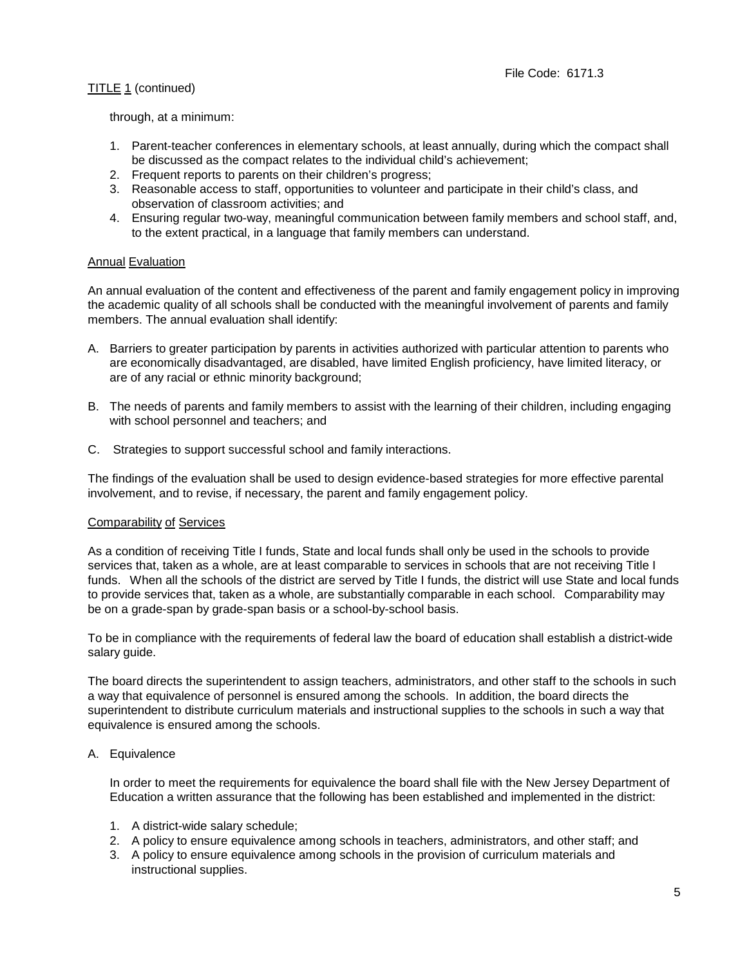through, at a minimum:

- 1. Parent-teacher conferences in elementary schools, at least annually, during which the compact shall be discussed as the compact relates to the individual child's achievement;
- 2. Frequent reports to parents on their children's progress;
- 3. Reasonable access to staff, opportunities to volunteer and participate in their child's class, and observation of classroom activities; and
- 4. Ensuring regular two-way, meaningful communication between family members and school staff, and, to the extent practical, in a language that family members can understand.

## **Annual Evaluation**

An annual evaluation of the content and effectiveness of the parent and family engagement policy in improving the academic quality of all schools shall be conducted with the meaningful involvement of parents and family members. The annual evaluation shall identify:

- A. Barriers to greater participation by parents in activities authorized with particular attention to parents who are economically disadvantaged, are disabled, have limited English proficiency, have limited literacy, or are of any racial or ethnic minority background;
- B. The needs of parents and family members to assist with the learning of their children, including engaging with school personnel and teachers; and
- C. Strategies to support successful school and family interactions.

The findings of the evaluation shall be used to design evidence-based strategies for more effective parental involvement, and to revise, if necessary, the parent and family engagement policy.

#### Comparability of Services

As a condition of receiving Title I funds, State and local funds shall only be used in the schools to provide services that, taken as a whole, are at least comparable to services in schools that are not receiving Title I funds. When all the schools of the district are served by Title I funds, the district will use State and local funds to provide services that, taken as a whole, are substantially comparable in each school. Comparability may be on a grade-span by grade-span basis or a school-by-school basis.

To be in compliance with the requirements of federal law the board of education shall establish a district-wide salary guide.

The board directs the superintendent to assign teachers, administrators, and other staff to the schools in such a way that equivalence of personnel is ensured among the schools. In addition, the board directs the superintendent to distribute curriculum materials and instructional supplies to the schools in such a way that equivalence is ensured among the schools.

## A. Equivalence

In order to meet the requirements for equivalence the board shall file with the New Jersey Department of Education a written assurance that the following has been established and implemented in the district:

- 1. A district-wide salary schedule;
- 2. A policy to ensure equivalence among schools in teachers, administrators, and other staff; and
- 3. A policy to ensure equivalence among schools in the provision of curriculum materials and instructional supplies.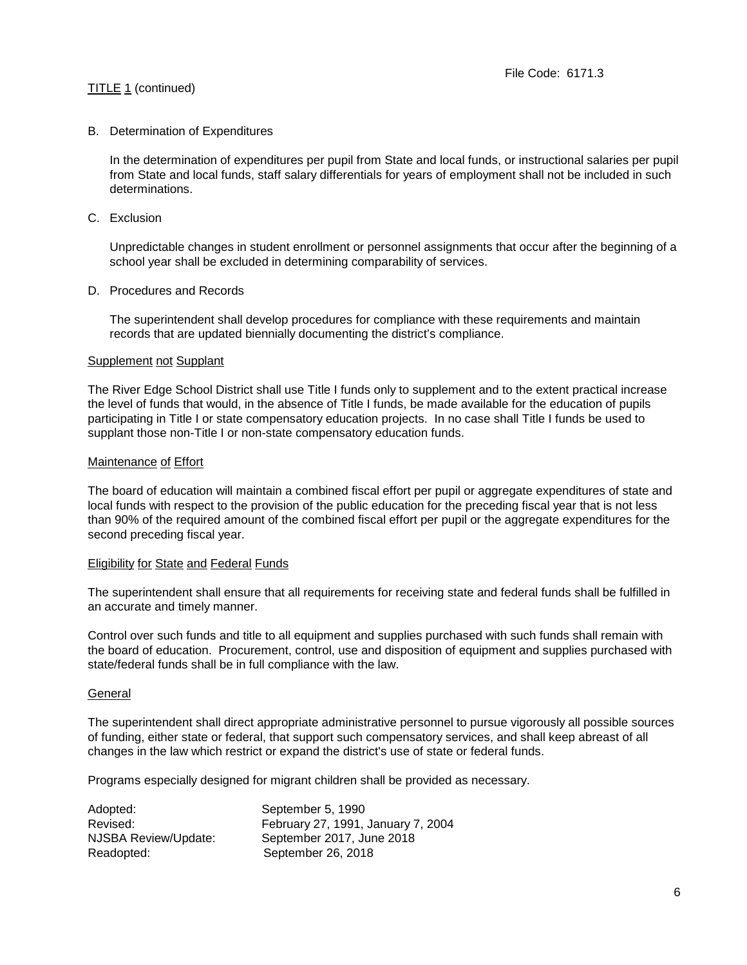### B. Determination of Expenditures

In the determination of expenditures per pupil from State and local funds, or instructional salaries per pupil from State and local funds, staff salary differentials for years of employment shall not be included in such determinations.

C. Exclusion

Unpredictable changes in student enrollment or personnel assignments that occur after the beginning of a school year shall be excluded in determining comparability of services.

#### D. Procedures and Records

The superintendent shall develop procedures for compliance with these requirements and maintain records that are updated biennially documenting the district's compliance.

#### Supplement not Supplant

The River Edge School District shall use Title I funds only to supplement and to the extent practical increase the level of funds that would, in the absence of Title I funds, be made available for the education of pupils participating in Title I or state compensatory education projects. In no case shall Title I funds be used to supplant those non-Title I or non-state compensatory education funds.

## Maintenance of Effort

The board of education will maintain a combined fiscal effort per pupil or aggregate expenditures of state and local funds with respect to the provision of the public education for the preceding fiscal year that is not less than 90% of the required amount of the combined fiscal effort per pupil or the aggregate expenditures for the second preceding fiscal year.

#### Eligibility for State and Federal Funds

The superintendent shall ensure that all requirements for receiving state and federal funds shall be fulfilled in an accurate and timely manner.

Control over such funds and title to all equipment and supplies purchased with such funds shall remain with the board of education. Procurement, control, use and disposition of equipment and supplies purchased with state/federal funds shall be in full compliance with the law.

#### General

The superintendent shall direct appropriate administrative personnel to pursue vigorously all possible sources of funding, either state or federal, that support such compensatory services, and shall keep abreast of all changes in the law which restrict or expand the district's use of state or federal funds.

Programs especially designed for migrant children shall be provided as necessary.

| Adopted:             | September 5, 1990                  |
|----------------------|------------------------------------|
| Revised:             | February 27, 1991, January 7, 2004 |
| NJSBA Review/Update: | September 2017, June 2018          |
| Readopted:           | September 26, 2018                 |